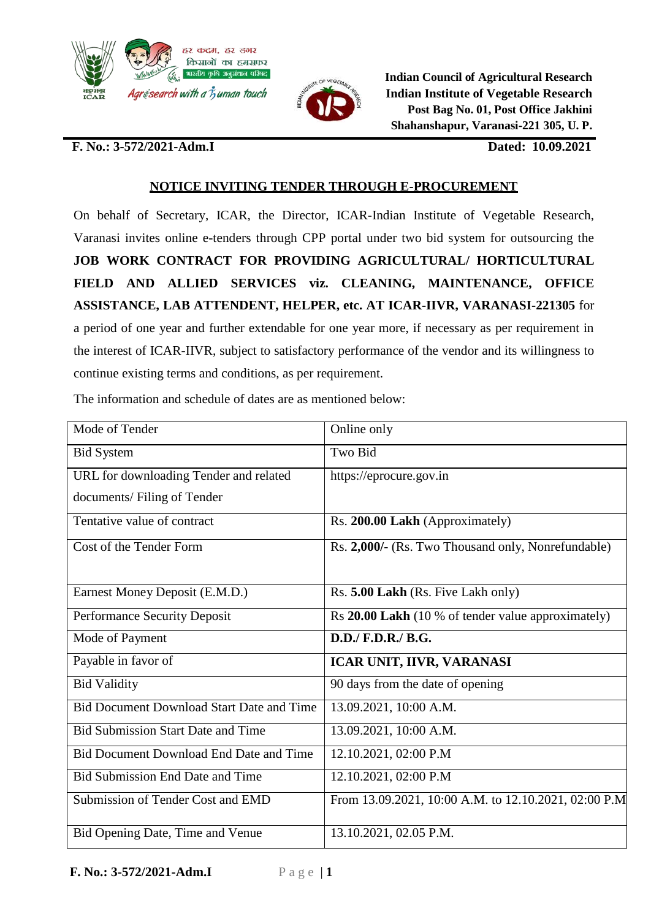



**Indian Council of Agricultural Research Indian Institute of Vegetable Research Post Bag No. 01, Post Office Jakhini Shahanshapur, Varanasi-221 305, U. P.**

## **F. No.: 3-572/2021-Adm.I Dated: 10.09.2021**

## **NOTICE INVITING TENDER THROUGH E-PROCUREMENT**

On behalf of Secretary, ICAR, the Director, ICAR-Indian Institute of Vegetable Research, Varanasi invites online e-tenders through CPP portal under two bid system for outsourcing the **JOB WORK CONTRACT FOR PROVIDING AGRICULTURAL/ HORTICULTURAL FIELD AND ALLIED SERVICES viz. CLEANING, MAINTENANCE, OFFICE ASSISTANCE, LAB ATTENDENT, HELPER, etc. AT ICAR-IIVR, VARANASI-221305** for a period of one year and further extendable for one year more, if necessary as per requirement in the interest of ICAR-IIVR, subject to satisfactory performance of the vendor and its willingness to continue existing terms and conditions, as per requirement.

| Mode of Tender                                   | Online only                                          |
|--------------------------------------------------|------------------------------------------------------|
| <b>Bid System</b>                                | <b>Two Bid</b>                                       |
| URL for downloading Tender and related           | https://eprocure.gov.in                              |
| documents/Filing of Tender                       |                                                      |
| Tentative value of contract                      | Rs. 200.00 Lakh (Approximately)                      |
| Cost of the Tender Form                          | Rs. 2,000/- (Rs. Two Thousand only, Nonrefundable)   |
|                                                  |                                                      |
| Earnest Money Deposit (E.M.D.)                   | Rs. 5.00 Lakh (Rs. Five Lakh only)                   |
| <b>Performance Security Deposit</b>              | Rs 20.00 Lakh (10 % of tender value approximately)   |
| Mode of Payment                                  | D.D./ F.D.R./ B.G.                                   |
| Payable in favor of                              | ICAR UNIT, IIVR, VARANASI                            |
| <b>Bid Validity</b>                              | 90 days from the date of opening                     |
| <b>Bid Document Download Start Date and Time</b> | 13.09.2021, 10:00 A.M.                               |
| <b>Bid Submission Start Date and Time</b>        | 13.09.2021, 10:00 A.M.                               |
| <b>Bid Document Download End Date and Time</b>   | 12.10.2021, 02:00 P.M                                |
| <b>Bid Submission End Date and Time</b>          | 12.10.2021, 02:00 P.M                                |
| Submission of Tender Cost and EMD                | From 13.09.2021, 10:00 A.M. to 12.10.2021, 02:00 P.M |
| Bid Opening Date, Time and Venue                 | 13.10.2021, 02.05 P.M.                               |

The information and schedule of dates are as mentioned below: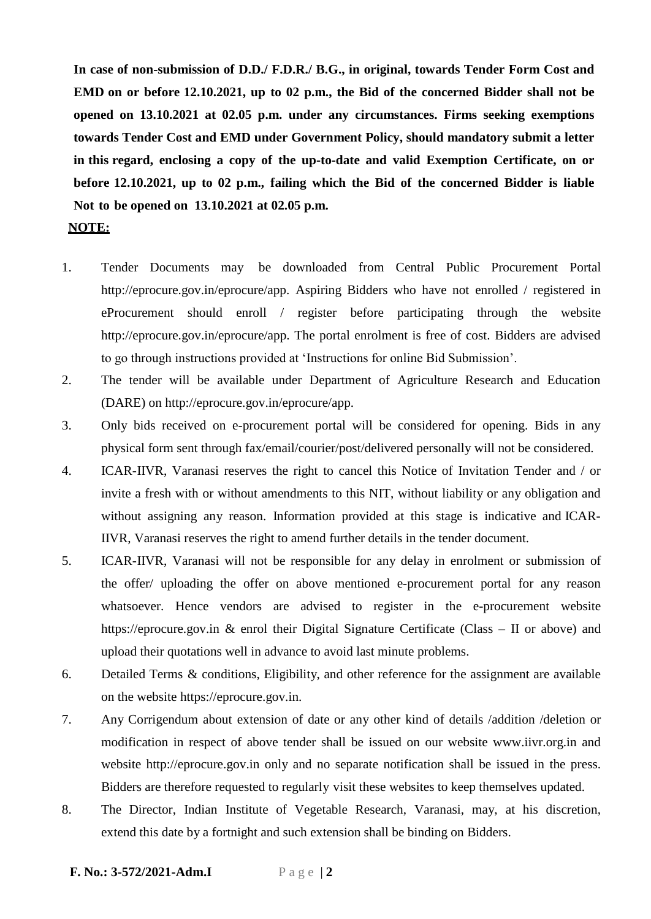**In case of non-submission of D.D./ F.D.R./ B.G., in original, towards Tender Form Cost and EMD on or before 12.10.2021, up to 02 p.m., the Bid of the concerned Bidder shall not be opened on 13.10.2021 at 02.05 p.m. under any circumstances. Firms seeking exemptions towards Tender Cost and EMD under Government Policy, should mandatory submit a letter in this regard, enclosing a copy of the up-to-date and valid Exemption Certificate, on or before 12.10.2021, up to 02 p.m., failing which the Bid of the concerned Bidder is liable Not to be opened on 13.10.2021 at 02.05 p.m.**

## **NOTE:**

- 1. Tender Documents may be downloaded from Central Public Procurement Porta[l](http://eprocure.gov.in/eprocure/app) [http://eprocure.gov.in/eprocure/app.](http://eprocure.gov.in/eprocure/app) Aspiring Bidders who have not enrolled / registered in eProcurement should enroll / register before participating through the websit[e](http://eprocure.gov.in/eprocure/app) [http://eprocure.gov.in/eprocure/app.](http://eprocure.gov.in/eprocure/app) The portal enrolment is free of cost. Bidders are advised to go through instructions provided at 'Instructions for online Bid Submission'.
- 2. The tender will be available under Department of Agriculture Research and Education (DARE) [on http://eprocure.gov.in/eprocure/app.](http://eprocure.gov.in/eprocure/app)
- 3. Only bids received on e-procurement portal will be considered for opening. Bids in any physical form sent through fax/email/courier/post/delivered personally will not be considered.
- 4. ICAR-IIVR, Varanasi reserves the right to cancel this Notice of Invitation Tender and / or invite a fresh with or without amendments to this NIT, without liability or any obligation and without assigning any reason. Information provided at this stage is indicative and ICAR-IIVR, Varanasi reserves the right to amend further details in the tender document.
- 5. ICAR-IIVR, Varanasi will not be responsible for any delay in enrolment or submission of the offer/ uploading the offer on above mentioned e-procurement portal for any reason whatsoever. Hence vendors are advised to register in the e-procurement website https://eprocure.gov.in & enrol their Digital Signature Certificate (Class – II or above) and upload their quotations well in advance to avoid last minute problems.
- 6. Detailed Terms & conditions, Eligibility, and other reference for the assignment are available on the website https://eprocure.gov.in.
- 7. Any Corrigendum about extension of date or any other kind of details /addition /deletion or modification in respect of above tender shall be issued on our website [www.iivr.org.in](http://www.iivr.org.in/) and website [http://eprocure.gov.in](http://eprocure.gov.in/) only and no separate notification shall be issued in the press. Bidders are therefore requested to regularly visit these websites to keep themselves updated.
- 8. The Director, Indian Institute of Vegetable Research, Varanasi, may, at his discretion, extend this date by a fortnight and such extension shall be binding on Bidders.